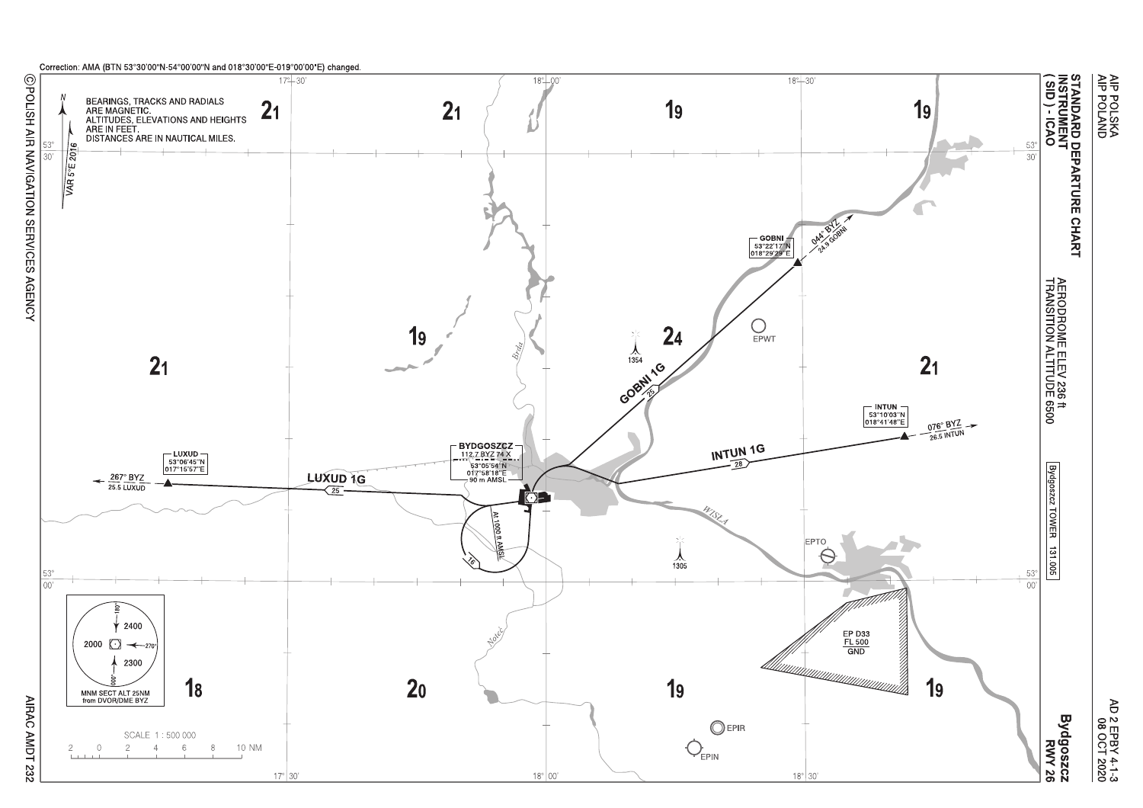